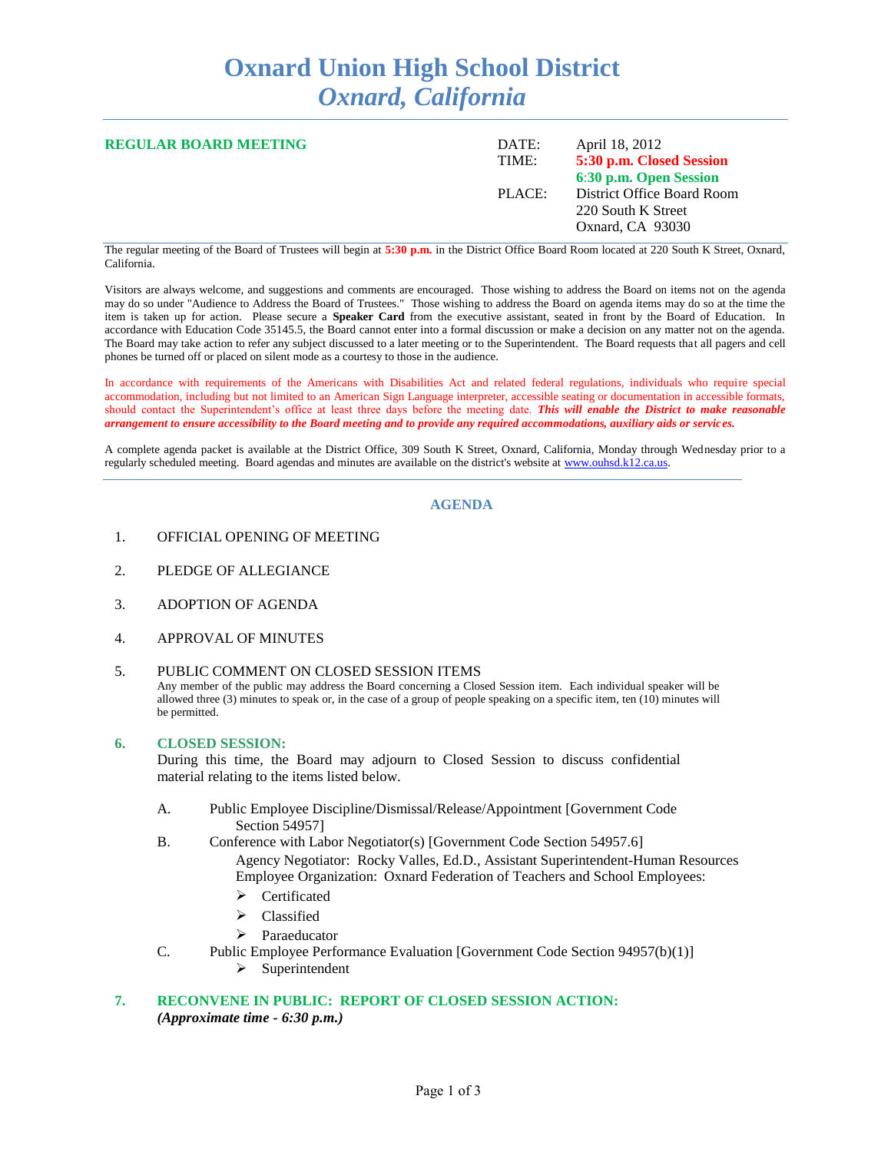# **Oxnard Union High School District** *Oxnard, California*

| <b>REGULAR BOARD MEETING</b> | DATE:<br>TIME: | April 18, 2012<br>5:30 p.m. Closed Session<br>6:30 p.m. Open Session |
|------------------------------|----------------|----------------------------------------------------------------------|
|                              | PLACE:         | District Office Board Room<br>220 South K Street<br>Oxnard, CA 93030 |

The regular meeting of the Board of Trustees will begin at **5:30 p.m.** in the District Office Board Room located at 220 South K Street, Oxnard, California.

Visitors are always welcome, and suggestions and comments are encouraged. Those wishing to address the Board on items not on the agenda may do so under "Audience to Address the Board of Trustees." Those wishing to address the Board on agenda items may do so at the time the item is taken up for action. Please secure a **Speaker Card** from the executive assistant, seated in front by the Board of Education. In accordance with Education Code 35145.5, the Board cannot enter into a formal discussion or make a decision on any matter not on the agenda. The Board may take action to refer any subject discussed to a later meeting or to the Superintendent. The Board requests that all pagers and cell phones be turned off or placed on silent mode as a courtesy to those in the audience.

In accordance with requirements of the Americans with Disabilities Act and related federal regulations, individuals who require special accommodation, including but not limited to an American Sign Language interpreter, accessible seating or documentation in accessible formats, should contact the Superintendent's office at least three days before the meeting date. *This will enable the District to make reasonable arrangement to ensure accessibility to the Board meeting and to provide any required accommodations, auxiliary aids or services.*

A complete agenda packet is available at the District Office, 309 South K Street, Oxnard, California, Monday through Wednesday prior to a regularly scheduled meeting. Board agendas and minutes are available on the district's website at [www.ouhsd.k12.ca.us.](http://www.ouhsd.k12.ca.us/)

## **AGENDA**

- 1. OFFICIAL OPENING OF MEETING
- 2. PLEDGE OF ALLEGIANCE
- 3. ADOPTION OF AGENDA
- 4. APPROVAL OF MINUTES

#### 5. PUBLIC COMMENT ON CLOSED SESSION ITEMS

Any member of the public may address the Board concerning a Closed Session item. Each individual speaker will be allowed three (3) minutes to speak or, in the case of a group of people speaking on a specific item, ten (10) minutes will be permitted.

#### **6. CLOSED SESSION:**

During this time, the Board may adjourn to Closed Session to discuss confidential material relating to the items listed below.

- A. Public Employee Discipline/Dismissal/Release/Appointment [Government Code Section 54957]
- B. Conference with Labor Negotiator(s) [Government Code Section 54957.6] Agency Negotiator: Rocky Valles, Ed.D., Assistant Superintendent-Human Resources Employee Organization: Oxnard Federation of Teachers and School Employees:
	- Certificated
	- $\triangleright$  Classified
	- > Paraeducator
- C. Public Employee Performance Evaluation [Government Code Section 94957(b)(1)]
	- $\triangleright$  Superintendent

## **7. RECONVENE IN PUBLIC: REPORT OF CLOSED SESSION ACTION:** *(Approximate time - 6:30 p.m.)*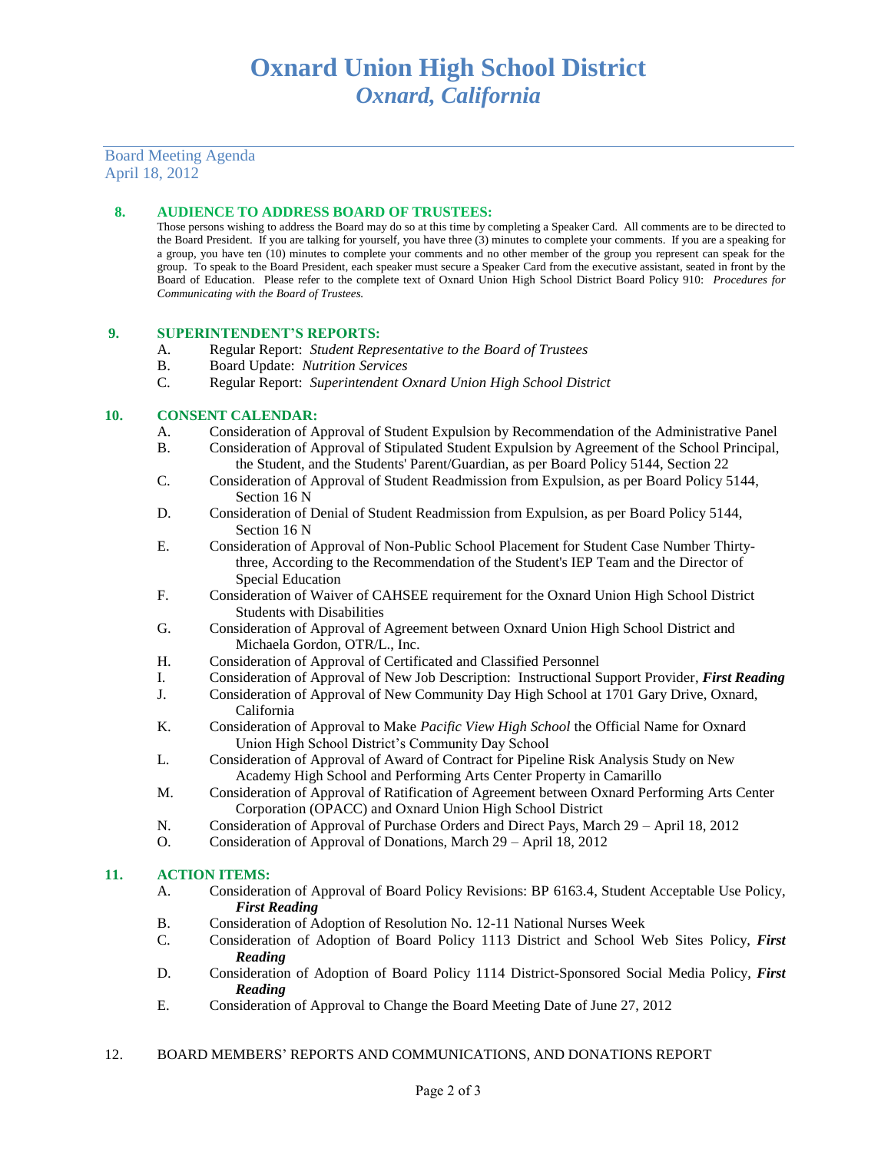## Board Meeting Agenda April 18, 2012

## **8. AUDIENCE TO ADDRESS BOARD OF TRUSTEES:**

Those persons wishing to address the Board may do so at this time by completing a Speaker Card. All comments are to be directed to the Board President. If you are talking for yourself, you have three (3) minutes to complete your comments. If you are a speaking for a group, you have ten (10) minutes to complete your comments and no other member of the group you represent can speak for the group. To speak to the Board President, each speaker must secure a Speaker Card from the executive assistant, seated in front by the Board of Education. Please refer to the complete text of Oxnard Union High School District Board Policy 910: *Procedures for Communicating with the Board of Trustees.*

#### **9. SUPERINTENDENT'S REPORTS:**

- A. Regular Report: *Student Representative to the Board of Trustees*
- B. Board Update: *Nutrition Services*
- C. Regular Report: *Superintendent Oxnard Union High School District*

#### **10. CONSENT CALENDAR:**

- A. Consideration of Approval of Student Expulsion by Recommendation of the Administrative Panel
- B. Consideration of Approval of Stipulated Student Expulsion by Agreement of the School Principal, the Student, and the Students' Parent/Guardian, as per Board Policy 5144, Section 22
- C. Consideration of Approval of Student Readmission from Expulsion, as per Board Policy 5144, Section 16 N
- D. Consideration of Denial of Student Readmission from Expulsion, as per Board Policy 5144, Section 16 N
- E. Consideration of Approval of Non-Public School Placement for Student Case Number Thirtythree, According to the Recommendation of the Student's IEP Team and the Director of Special Education
- F. Consideration of Waiver of CAHSEE requirement for the Oxnard Union High School District Students with Disabilities
- G. Consideration of Approval of Agreement between Oxnard Union High School District and Michaela Gordon, OTR/L., Inc.
- H. Consideration of Approval of Certificated and Classified Personnel
- I. Consideration of Approval of New Job Description: Instructional Support Provider, *First Reading*
- J. Consideration of Approval of New Community Day High School at 1701 Gary Drive, Oxnard, California
- K. Consideration of Approval to Make *Pacific View High School* the Official Name for Oxnard Union High School District's Community Day School
- L. Consideration of Approval of Award of Contract for Pipeline Risk Analysis Study on New Academy High School and Performing Arts Center Property in Camarillo
- M. Consideration of Approval of Ratification of Agreement between Oxnard Performing Arts Center Corporation (OPACC) and Oxnard Union High School District
- N. Consideration of Approval of Purchase Orders and Direct Pays, March 29 April 18, 2012
- O. Consideration of Approval of Donations, March 29 April 18, 2012

## **11. ACTION ITEMS:**

- A. Consideration of Approval of Board Policy Revisions: BP 6163.4, Student Acceptable Use Policy, *First Reading*
- B. Consideration of Adoption of Resolution No. 12-11 National Nurses Week
- C. Consideration of Adoption of Board Policy 1113 District and School Web Sites Policy, *First Reading*
- D. Consideration of Adoption of Board Policy 1114 District-Sponsored Social Media Policy, *First Reading*
- E. Consideration of Approval to Change the Board Meeting Date of June 27, 2012

## 12. BOARD MEMBERS' REPORTS AND COMMUNICATIONS, AND DONATIONS REPORT